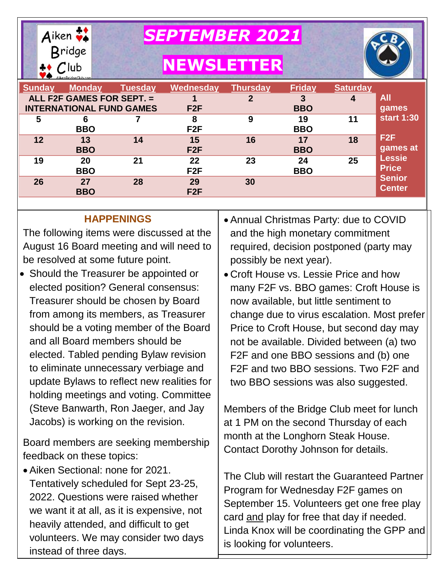

*SEPTEMBER 2021*

# **NEWSLETTER**



| <b>Sunday</b> | <b>Monday</b>                   | <b>Tuesday</b> | Wednesday       | Thursday | <b>Friday</b> | <b>Saturday</b> |                   |
|---------------|---------------------------------|----------------|-----------------|----------|---------------|-----------------|-------------------|
|               | ALL F2F GAMES FOR SEPT. =       |                |                 | 2        | 3             | 4               | <b>All</b>        |
|               | <b>INTERNATIONAL FUND GAMES</b> |                | F2F             |          | <b>BBO</b>    |                 | games             |
| 5             | 6                               |                | 8               | 9        | 19            | 11              | <b>start 1:30</b> |
|               | <b>BBO</b>                      |                | F2F             |          | <b>BBO</b>    |                 |                   |
| 12            | 13                              | 14             | 15              | 16       | 17            | 18              | F <sub>2F</sub>   |
|               | <b>BBO</b>                      |                | F2F             |          | <b>BBO</b>    |                 | games at          |
| 19            | 20                              | 21             | 22              | 23       | 24            | 25              | <b>Lessie</b>     |
|               | <b>BBO</b>                      |                | F <sub>2F</sub> |          | <b>BBO</b>    |                 | <b>Price</b>      |
| 26            | 27                              | 28             | 29              | 30       |               |                 | <b>Senior</b>     |
|               | <b>BBO</b>                      |                | F <sub>2F</sub> |          |               |                 | <b>Center</b>     |

#### **HAPPENINGS**

The following items were discussed at the August 16 Board meeting and will need to be resolved at some future point.

• Should the Treasurer be appointed or elected position? General consensus: Treasurer should be chosen by Board from among its members, as Treasurer should be a voting member of the Board and all Board members should be elected. Tabled pending Bylaw revision to eliminate unnecessary verbiage and update Bylaws to reflect new realities for holding meetings and voting. Committee (Steve Banwarth, Ron Jaeger, and Jay Jacobs) is working on the revision.

Board members are seeking membership feedback on these topics:

 Aiken Sectional: none for 2021. Tentatively scheduled for Sept 23-25, 2022. Questions were raised whether we want it at all, as it is expensive, not heavily attended, and difficult to get volunteers. We may consider two days instead of three days.

- Annual Christmas Party: due to COVID and the high monetary commitment required, decision postponed (party may possibly be next year).
- Croft House vs. Lessie Price and how many F2F vs. BBO games: Croft House is now available, but little sentiment to change due to virus escalation. Most prefer Price to Croft House, but second day may not be available. Divided between (a) two F2F and one BBO sessions and (b) one F2F and two BBO sessions. Two F2F and two BBO sessions was also suggested.

Members of the Bridge Club meet for lunch at 1 PM on the second Thursday of each month at the Longhorn Steak House. Contact Dorothy Johnson for details.

The Club will restart the Guaranteed Partner Program for Wednesday F2F games on September 15. Volunteers get one free play card and play for free that day if needed. Linda Knox will be coordinating the GPP and is looking for volunteers.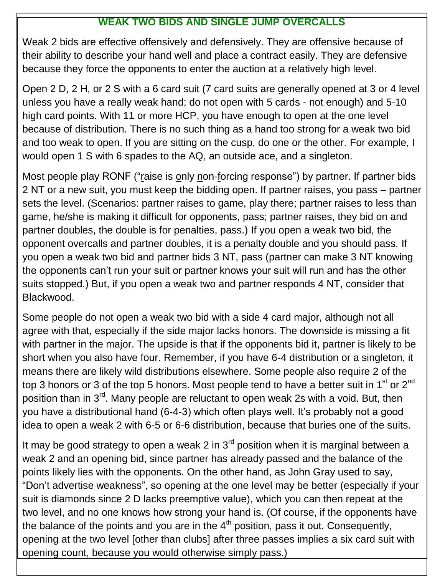## **WEAK TWO BIDS AND SINGLE JUMP OVERCALLS**

Weak 2 bids are effective offensively and defensively. They are offensive because of their ability to describe your hand well and place a contract easily. They are defensive because they force the opponents to enter the auction at a relatively high level.

Open 2 D, 2 H, or 2 S with a 6 card suit (7 card suits are generally opened at 3 or 4 level unless you have a really weak hand; do not open with 5 cards - not enough) and 5-10 high card points. With 11 or more HCP, you have enough to open at the one level because of distribution. There is no such thing as a hand too strong for a weak two bid and too weak to open. If you are sitting on the cusp, do one or the other. For example, I would open 1 S with 6 spades to the AQ, an outside ace, and a singleton.

Most people play RONF ("raise is only non-forcing response") by partner. If partner bids 2 NT or a new suit, you must keep the bidding open. If partner raises, you pass – partner sets the level. (Scenarios: partner raises to game, play there; partner raises to less than game, he/she is making it difficult for opponents, pass; partner raises, they bid on and partner doubles, the double is for penalties, pass.) If you open a weak two bid, the opponent overcalls and partner doubles, it is a penalty double and you should pass. If you open a weak two bid and partner bids 3 NT, pass (partner can make 3 NT knowing the opponents can't run your suit or partner knows your suit will run and has the other suits stopped.) But, if you open a weak two and partner responds 4 NT, consider that Blackwood.

Some people do not open a weak two bid with a side 4 card major, although not all agree with that, especially if the side major lacks honors. The downside is missing a fit with partner in the major. The upside is that if the opponents bid it, partner is likely to be short when you also have four. Remember, if you have 6-4 distribution or a singleton, it means there are likely wild distributions elsewhere. Some people also require 2 of the top 3 honors or 3 of the top 5 honors. Most people tend to have a better suit in 1<sup>st</sup> or  $2^{nd}$ position than in 3<sup>rd</sup>. Many people are reluctant to open weak 2s with a void. But, then you have a distributional hand (6-4-3) which often plays well. It's probably not a good idea to open a weak 2 with 6-5 or 6-6 distribution, because that buries one of the suits.

 opening count, because you would otherwise simply pass.)It may be good strategy to open a weak 2 in  $3<sup>rd</sup>$  position when it is marginal between a weak 2 and an opening bid, since partner has already passed and the balance of the points likely lies with the opponents. On the other hand, as John Gray used to say, "Don't advertise weakness", so opening at the one level may be better (especially if your suit is diamonds since 2 D lacks preemptive value), which you can then repeat at the two level, and no one knows how strong your hand is. (Of course, if the opponents have the balance of the points and you are in the  $4<sup>th</sup>$  position, pass it out. Consequently, opening at the two level [other than clubs] after three passes implies a six card suit with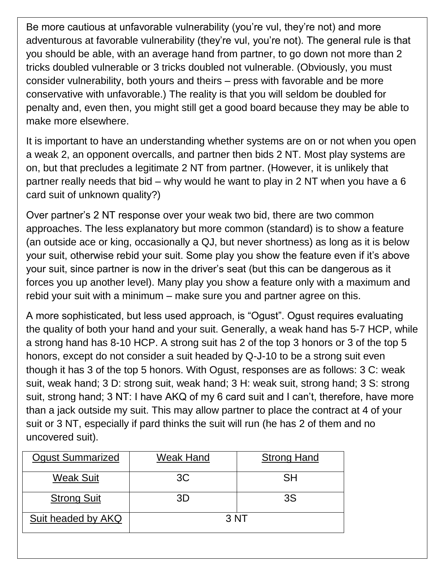Be more cautious at unfavorable vulnerability (you're vul, they're not) and more adventurous at favorable vulnerability (they're vul, you're not). The general rule is that you should be able, with an average hand from partner, to go down not more than 2 tricks doubled vulnerable or 3 tricks doubled not vulnerable. (Obviously, you must consider vulnerability, both yours and theirs – press with favorable and be more conservative with unfavorable.) The reality is that you will seldom be doubled for penalty and, even then, you might still get a good board because they may be able to make more elsewhere.

It is important to have an understanding whether systems are on or not when you open a weak 2, an opponent overcalls, and partner then bids 2 NT. Most play systems are on, but that precludes a legitimate 2 NT from partner. (However, it is unlikely that partner really needs that bid – why would he want to play in 2 NT when you have a 6 card suit of unknown quality?)

Over partner's 2 NT response over your weak two bid, there are two common approaches. The less explanatory but more common (standard) is to show a feature (an outside ace or king, occasionally a QJ, but never shortness) as long as it is below your suit, otherwise rebid your suit. Some play you show the feature even if it's above your suit, since partner is now in the driver's seat (but this can be dangerous as it forces you up another level). Many play you show a feature only with a maximum and rebid your suit with a minimum – make sure you and partner agree on this.

A more sophisticated, but less used approach, is "Ogust". Ogust requires evaluating the quality of both your hand and your suit. Generally, a weak hand has 5-7 HCP, while a strong hand has 8-10 HCP. A strong suit has 2 of the top 3 honors or 3 of the top 5 honors, except do not consider a suit headed by Q-J-10 to be a strong suit even though it has 3 of the top 5 honors. With Ogust, responses are as follows: 3 C: weak suit, weak hand; 3 D: strong suit, weak hand; 3 H: weak suit, strong hand; 3 S: strong suit, strong hand; 3 NT: I have AKQ of my 6 card suit and I can't, therefore, have more than a jack outside my suit. This may allow partner to place the contract at 4 of your suit or 3 NT, especially if pard thinks the suit will run (he has 2 of them and no uncovered suit).

| <b>Ogust Summarized</b> | Weak Hand | <b>Strong Hand</b> |  |
|-------------------------|-----------|--------------------|--|
| <b>Weak Suit</b>        | 3C        | SH                 |  |
| <b>Strong Suit</b>      | 3D        | 3S                 |  |
| Suit headed by AKQ      | 3NT       |                    |  |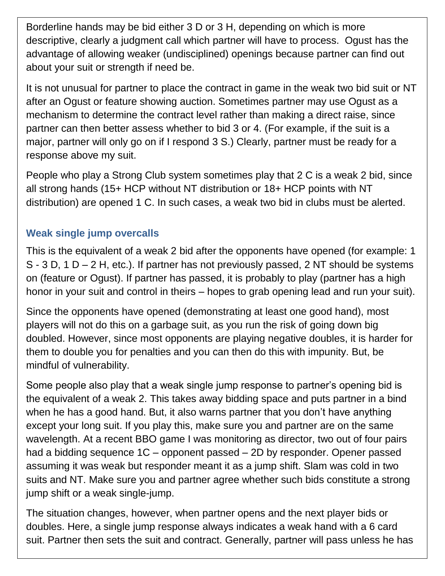Borderline hands may be bid either 3 D or 3 H, depending on which is more descriptive, clearly a judgment call which partner will have to process. Ogust has the advantage of allowing weaker (undisciplined) openings because partner can find out about your suit or strength if need be.

It is not unusual for partner to place the contract in game in the weak two bid suit or NT after an Ogust or feature showing auction. Sometimes partner may use Ogust as a mechanism to determine the contract level rather than making a direct raise, since partner can then better assess whether to bid 3 or 4. (For example, if the suit is a major, partner will only go on if I respond 3 S.) Clearly, partner must be ready for a response above my suit.

People who play a Strong Club system sometimes play that 2 C is a weak 2 bid, since all strong hands (15+ HCP without NT distribution or 18+ HCP points with NT distribution) are opened 1 C. In such cases, a weak two bid in clubs must be alerted.

#### **Weak single jump overcalls**

This is the equivalent of a weak 2 bid after the opponents have opened (for example: 1  $S - 3 D$ , 1 D – 2 H, etc.). If partner has not previously passed, 2 NT should be systems on (feature or Ogust). If partner has passed, it is probably to play (partner has a high honor in your suit and control in theirs – hopes to grab opening lead and run your suit).

Since the opponents have opened (demonstrating at least one good hand), most players will not do this on a garbage suit, as you run the risk of going down big doubled. However, since most opponents are playing negative doubles, it is harder for them to double you for penalties and you can then do this with impunity. But, be mindful of vulnerability.

Some people also play that a weak single jump response to partner's opening bid is the equivalent of a weak 2. This takes away bidding space and puts partner in a bind when he has a good hand. But, it also warns partner that you don't have anything except your long suit. If you play this, make sure you and partner are on the same wavelength. At a recent BBO game I was monitoring as director, two out of four pairs had a bidding sequence 1C – opponent passed – 2D by responder. Opener passed assuming it was weak but responder meant it as a jump shift. Slam was cold in two suits and NT. Make sure you and partner agree whether such bids constitute a strong jump shift or a weak single-jump.

The situation changes, however, when partner opens and the next player bids or doubles. Here, a single jump response always indicates a weak hand with a 6 card suit. Partner then sets the suit and contract. Generally, partner will pass unless he has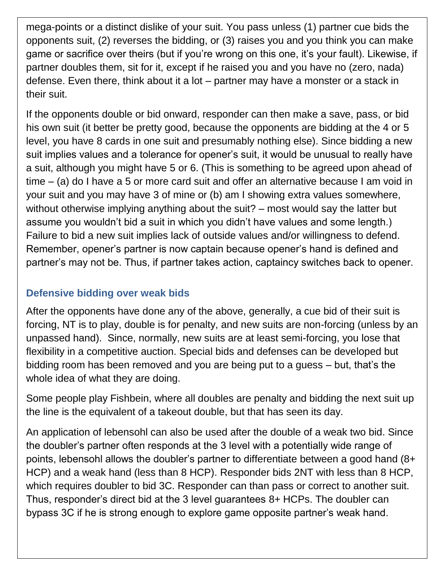mega-points or a distinct dislike of your suit. You pass unless (1) partner cue bids the opponents suit, (2) reverses the bidding, or (3) raises you and you think you can make game or sacrifice over theirs (but if you're wrong on this one, it's your fault). Likewise, if partner doubles them, sit for it, except if he raised you and you have no (zero, nada) defense. Even there, think about it a lot – partner may have a monster or a stack in their suit.

If the opponents double or bid onward, responder can then make a save, pass, or bid his own suit (it better be pretty good, because the opponents are bidding at the 4 or 5 level, you have 8 cards in one suit and presumably nothing else). Since bidding a new suit implies values and a tolerance for opener's suit, it would be unusual to really have a suit, although you might have 5 or 6. (This is something to be agreed upon ahead of time – (a) do I have a 5 or more card suit and offer an alternative because I am void in your suit and you may have 3 of mine or (b) am I showing extra values somewhere, without otherwise implying anything about the suit? – most would say the latter but assume you wouldn't bid a suit in which you didn't have values and some length.) Failure to bid a new suit implies lack of outside values and/or willingness to defend. Remember, opener's partner is now captain because opener's hand is defined and partner's may not be. Thus, if partner takes action, captaincy switches back to opener.

#### **Defensive bidding over weak bids**

After the opponents have done any of the above, generally, a cue bid of their suit is forcing, NT is to play, double is for penalty, and new suits are non-forcing (unless by an unpassed hand). Since, normally, new suits are at least semi-forcing, you lose that flexibility in a competitive auction. Special bids and defenses can be developed but bidding room has been removed and you are being put to a guess – but, that's the whole idea of what they are doing.

Some people play Fishbein, where all doubles are penalty and bidding the next suit up the line is the equivalent of a takeout double, but that has seen its day.

An application of lebensohl can also be used after the double of a weak two bid. Since the doubler's partner often responds at the 3 level with a potentially wide range of points, lebensohl allows the doubler's partner to differentiate between a good hand (8+ HCP) and a weak hand (less than 8 HCP). Responder bids 2NT with less than 8 HCP, which requires doubler to bid 3C. Responder can than pass or correct to another suit. Thus, responder's direct bid at the 3 level guarantees 8+ HCPs. The doubler can bypass 3C if he is strong enough to explore game opposite partner's weak hand.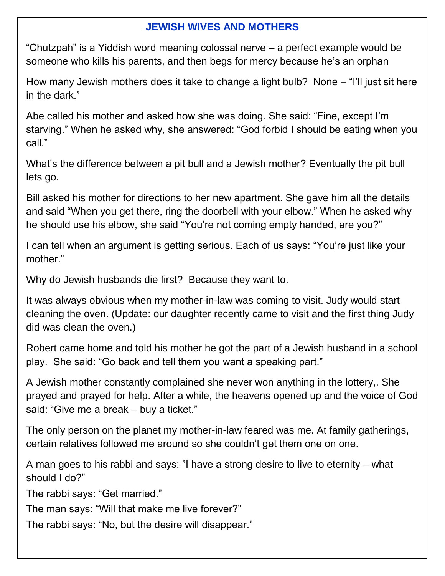## **JEWISH WIVES AND MOTHERS**

"Chutzpah" is a Yiddish word meaning colossal nerve – a perfect example would be someone who kills his parents, and then begs for mercy because he's an orphan

How many Jewish mothers does it take to change a light bulb? None – "I'll just sit here in the dark."

Abe called his mother and asked how she was doing. She said: "Fine, except I'm starving." When he asked why, she answered: "God forbid I should be eating when you call."

What's the difference between a pit bull and a Jewish mother? Eventually the pit bull lets go.

Bill asked his mother for directions to her new apartment. She gave him all the details and said "When you get there, ring the doorbell with your elbow." When he asked why he should use his elbow, she said "You're not coming empty handed, are you?"

I can tell when an argument is getting serious. Each of us says: "You're just like your mother."

Why do Jewish husbands die first? Because they want to.

It was always obvious when my mother-in-law was coming to visit. Judy would start cleaning the oven. (Update: our daughter recently came to visit and the first thing Judy did was clean the oven.)

Robert came home and told his mother he got the part of a Jewish husband in a school play. She said: "Go back and tell them you want a speaking part."

A Jewish mother constantly complained she never won anything in the lottery,. She prayed and prayed for help. After a while, the heavens opened up and the voice of God said: "Give me a break – buy a ticket."

The only person on the planet my mother-in-law feared was me. At family gatherings, certain relatives followed me around so she couldn't get them one on one.

A man goes to his rabbi and says: "I have a strong desire to live to eternity – what should I do?"

The rabbi says: "Get married."

The man says: "Will that make me live forever?"

The rabbi says: "No, but the desire will disappear."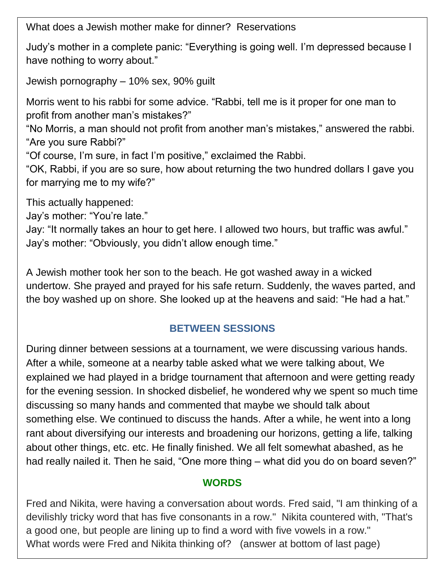What does a Jewish mother make for dinner? Reservations

Judy's mother in a complete panic: "Everything is going well. I'm depressed because I have nothing to worry about."

Jewish pornography – 10% sex, 90% guilt

Morris went to his rabbi for some advice. "Rabbi, tell me is it proper for one man to profit from another man's mistakes?"

"No Morris, a man should not profit from another man's mistakes," answered the rabbi. "Are you sure Rabbi?"

"Of course, I'm sure, in fact I'm positive," exclaimed the Rabbi.

"OK, Rabbi, if you are so sure, how about returning the two hundred dollars I gave you for marrying me to my wife?"

This actually happened:

Jay's mother: "You're late."

Jay: "It normally takes an hour to get here. I allowed two hours, but traffic was awful." Jay's mother: "Obviously, you didn't allow enough time."

A Jewish mother took her son to the beach. He got washed away in a wicked undertow. She prayed and prayed for his safe return. Suddenly, the waves parted, and the boy washed up on shore. She looked up at the heavens and said: "He had a hat."

## **BETWEEN SESSIONS**

During dinner between sessions at a tournament, we were discussing various hands. After a while, someone at a nearby table asked what we were talking about, We explained we had played in a bridge tournament that afternoon and were getting ready for the evening session. In shocked disbelief, he wondered why we spent so much time discussing so many hands and commented that maybe we should talk about something else. We continued to discuss the hands. After a while, he went into a long rant about diversifying our interests and broadening our horizons, getting a life, talking about other things, etc. etc. He finally finished. We all felt somewhat abashed, as he had really nailed it. Then he said, "One more thing – what did you do on board seven?"

## **WORDS**

Fred and Nikita, were having a conversation about words. Fred said, "I am thinking of a devilishly tricky word that has five consonants in a row." Nikita countered with, "That's a good one, but people are lining up to find a word with five vowels in a row." What words were Fred and Nikita thinking of? (answer at bottom of last page)